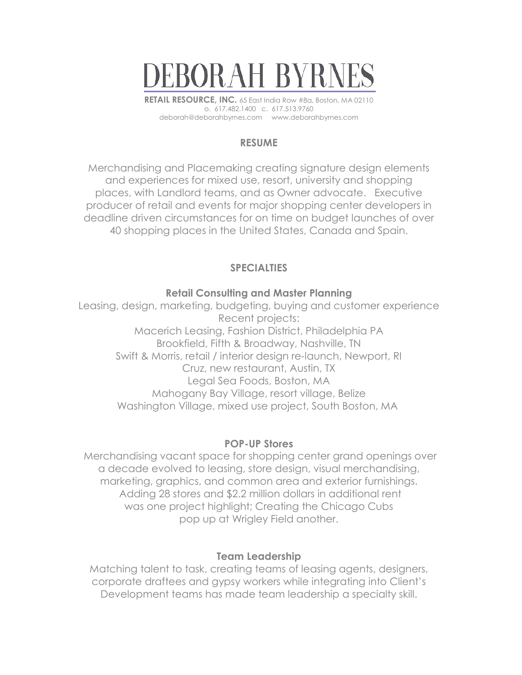

**RETAIL RESOURCE, INC.** 65 East India Row #8a, Boston, MA 02110 o. 617.482.1400 c. 617.513.9760 deborah@deborahbyrnes.com www.deborahbyrnes.com

## **RESUME**

Merchandising and Placemaking creating signature design elements and experiences for mixed use, resort, university and shopping places, with Landlord teams, and as Owner advocate. Executive producer of retail and events for major shopping center developers in deadline driven circumstances for on time on budget launches of over 40 shopping places in the United States, Canada and Spain.

# **SPECIALTIES**

### **Retail Consulting and Master Planning**

Leasing, design, marketing, budgeting, buying and customer experience Recent projects: Macerich Leasing, Fashion District, Philadelphia PA Brookfield, Fifth & Broadway, Nashville, TN Swift & Morris, retail / interior design re-launch, Newport, RI Cruz, new restaurant, Austin, TX Legal Sea Foods, Boston, MA Mahogany Bay Village, resort village, Belize Washington Village, mixed use project, South Boston, MA

### **POP-UP Stores**

Merchandising vacant space for shopping center grand openings over a decade evolved to leasing, store design, visual merchandising, marketing, graphics, and common area and exterior furnishings. Adding 28 stores and \$2.2 million dollars in additional rent was one project highlight; Creating the Chicago Cubs pop up at Wrigley Field another.

### **Team Leadership**

Matching talent to task, creating teams of leasing agents, designers, corporate draftees and gypsy workers while integrating into Client's Development teams has made team leadership a specialty skill.